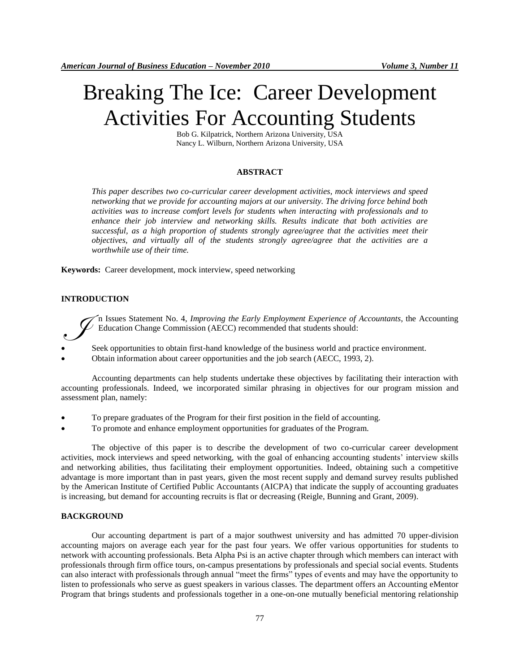# Breaking The Ice: Career Development Activities For Accounting Students

Bob G. Kilpatrick, Northern Arizona University, USA Nancy L. Wilburn, Northern Arizona University, USA

#### **ABSTRACT**

*This paper describes two co-curricular career development activities, mock interviews and speed networking that we provide for accounting majors at our university. The driving force behind both activities was to increase comfort levels for students when interacting with professionals and to enhance their job interview and networking skills. Results indicate that both activities are successful, as a high proportion of students strongly agree/agree that the activities meet their objectives, and virtually all of the students strongly agree/agree that the activities are a worthwhile use of their time.* 

**Keywords:** Career development, mock interview, speed networking

## **INTRODUCTION**

n Issues Statement No. 4, *Improving the Early Employment Experience of Accountants*, the Accounting Education Change Commission (AECC) recommended that students should:

- Seek opportunities to obtain first-hand knowledge of the business world and practice environment.  $\mathcal{S}$
- Obtain information about career opportunities and the job search (AECC, 1993, 2).

Accounting departments can help students undertake these objectives by facilitating their interaction with accounting professionals. Indeed, we incorporated similar phrasing in objectives for our program mission and assessment plan, namely:

- To prepare graduates of the Program for their first position in the field of accounting.
- To promote and enhance employment opportunities for graduates of the Program.

The objective of this paper is to describe the development of two co-curricular career development activities, mock interviews and speed networking, with the goal of enhancing accounting students' interview skills and networking abilities, thus facilitating their employment opportunities. Indeed, obtaining such a competitive advantage is more important than in past years, given the most recent supply and demand survey results published by the American Institute of Certified Public Accountants (AICPA) that indicate the supply of accounting graduates is increasing, but demand for accounting recruits is flat or decreasing (Reigle, Bunning and Grant, 2009).

#### **BACKGROUND**

Our accounting department is part of a major southwest university and has admitted 70 upper-division accounting majors on average each year for the past four years. We offer various opportunities for students to network with accounting professionals. Beta Alpha Psi is an active chapter through which members can interact with professionals through firm office tours, on-campus presentations by professionals and special social events. Students can also interact with professionals through annual "meet the firms" types of events and may have the opportunity to listen to professionals who serve as guest speakers in various classes. The department offers an Accounting eMentor Program that brings students and professionals together in a one-on-one mutually beneficial mentoring relationship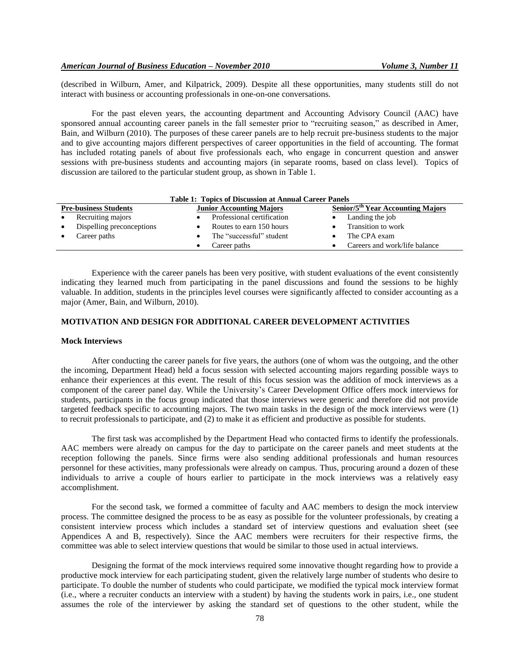(described in Wilburn, Amer, and Kilpatrick, 2009). Despite all these opportunities, many students still do not interact with business or accounting professionals in one-on-one conversations.

For the past eleven years, the accounting department and Accounting Advisory Council (AAC) have sponsored annual accounting career panels in the fall semester prior to "recruiting season," as described in Amer, Bain, and Wilburn (2010). The purposes of these career panels are to help recruit pre-business students to the major and to give accounting majors different perspectives of career opportunities in the field of accounting. The format has included rotating panels of about five professionals each, who engage in concurrent question and answer sessions with pre-business students and accounting majors (in separate rooms, based on class level). Topics of discussion are tailored to the particular student group, as shown in Table 1.

| Tubic Te Tobics of Discussion at Annual Career Tuncis           |                            |                                                     |  |  |
|-----------------------------------------------------------------|----------------------------|-----------------------------------------------------|--|--|
| <b>Pre-business Students</b><br><b>Junior Accounting Majors</b> |                            | <b>Senior/5<sup>th</sup></b> Year Accounting Majors |  |  |
| Recruiting majors<br>$\bullet$                                  | Professional certification | Landing the job                                     |  |  |
| Dispelling preconceptions<br>$\bullet$                          | Routes to earn 150 hours   | Transition to work                                  |  |  |
| Career paths<br>$\bullet$                                       | The "successful" student   | The CPA exam                                        |  |  |
|                                                                 | Career paths               | Careers and work/life balance                       |  |  |
|                                                                 |                            |                                                     |  |  |

**Table 1: Topics of Discussion at Annual Career Panels**

Experience with the career panels has been very positive, with student evaluations of the event consistently indicating they learned much from participating in the panel discussions and found the sessions to be highly valuable. In addition, students in the principles level courses were significantly affected to consider accounting as a major (Amer, Bain, and Wilburn, 2010).

# **MOTIVATION AND DESIGN FOR ADDITIONAL CAREER DEVELOPMENT ACTIVITIES**

## **Mock Interviews**

After conducting the career panels for five years, the authors (one of whom was the outgoing, and the other the incoming, Department Head) held a focus session with selected accounting majors regarding possible ways to enhance their experiences at this event. The result of this focus session was the addition of mock interviews as a component of the career panel day. While the University's Career Development Office offers mock interviews for students, participants in the focus group indicated that those interviews were generic and therefore did not provide targeted feedback specific to accounting majors. The two main tasks in the design of the mock interviews were (1) to recruit professionals to participate, and (2) to make it as efficient and productive as possible for students.

The first task was accomplished by the Department Head who contacted firms to identify the professionals. AAC members were already on campus for the day to participate on the career panels and meet students at the reception following the panels. Since firms were also sending additional professionals and human resources personnel for these activities, many professionals were already on campus. Thus, procuring around a dozen of these individuals to arrive a couple of hours earlier to participate in the mock interviews was a relatively easy accomplishment.

For the second task, we formed a committee of faculty and AAC members to design the mock interview process. The committee designed the process to be as easy as possible for the volunteer professionals, by creating a consistent interview process which includes a standard set of interview questions and evaluation sheet (see Appendices A and B, respectively). Since the AAC members were recruiters for their respective firms, the committee was able to select interview questions that would be similar to those used in actual interviews.

Designing the format of the mock interviews required some innovative thought regarding how to provide a productive mock interview for each participating student, given the relatively large number of students who desire to participate. To double the number of students who could participate, we modified the typical mock interview format (i.e., where a recruiter conducts an interview with a student) by having the students work in pairs, i.e., one student assumes the role of the interviewer by asking the standard set of questions to the other student, while the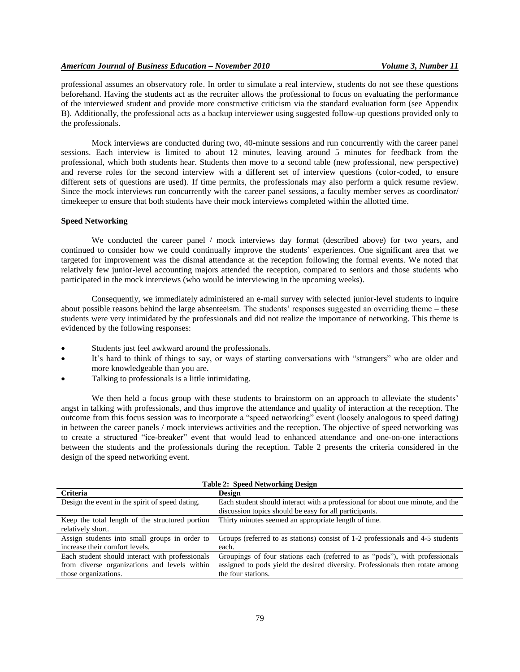professional assumes an observatory role. In order to simulate a real interview, students do not see these questions beforehand. Having the students act as the recruiter allows the professional to focus on evaluating the performance of the interviewed student and provide more constructive criticism via the standard evaluation form (see Appendix B). Additionally, the professional acts as a backup interviewer using suggested follow-up questions provided only to the professionals.

Mock interviews are conducted during two, 40-minute sessions and run concurrently with the career panel sessions. Each interview is limited to about 12 minutes, leaving around 5 minutes for feedback from the professional, which both students hear. Students then move to a second table (new professional, new perspective) and reverse roles for the second interview with a different set of interview questions (color-coded, to ensure different sets of questions are used). If time permits, the professionals may also perform a quick resume review. Since the mock interviews run concurrently with the career panel sessions, a faculty member serves as coordinator/ timekeeper to ensure that both students have their mock interviews completed within the allotted time.

#### **Speed Networking**

We conducted the career panel / mock interviews day format (described above) for two years, and continued to consider how we could continually improve the students' experiences. One significant area that we targeted for improvement was the dismal attendance at the reception following the formal events. We noted that relatively few junior-level accounting majors attended the reception, compared to seniors and those students who participated in the mock interviews (who would be interviewing in the upcoming weeks).

Consequently, we immediately administered an e-mail survey with selected junior-level students to inquire about possible reasons behind the large absenteeism. The students' responses suggested an overriding theme – these students were very intimidated by the professionals and did not realize the importance of networking. This theme is evidenced by the following responses:

- Students just feel awkward around the professionals.
- It's hard to think of things to say, or ways of starting conversations with "strangers" who are older and more knowledgeable than you are.
- Talking to professionals is a little intimidating.

We then held a focus group with these students to brainstorm on an approach to alleviate the students' angst in talking with professionals, and thus improve the attendance and quality of interaction at the reception. The outcome from this focus session was to incorporate a "speed networking" event (loosely analogous to speed dating) in between the career panels / mock interviews activities and the reception. The objective of speed networking was to create a structured "ice-breaker" event that would lead to enhanced attendance and one-on-one interactions between the students and the professionals during the reception. Table 2 presents the criteria considered in the design of the speed networking event.

| $\frac{1}{2}$ and $\frac{1}{2}$ . Operation to the second $\frac{1}{2}$ |                                                                                |  |  |
|-------------------------------------------------------------------------|--------------------------------------------------------------------------------|--|--|
| <b>Criteria</b>                                                         | <b>Design</b>                                                                  |  |  |
| Design the event in the spirit of speed dating.                         | Each student should interact with a professional for about one minute, and the |  |  |
|                                                                         | discussion topics should be easy for all participants.                         |  |  |
| Keep the total length of the structured portion                         | Thirty minutes seemed an appropriate length of time.                           |  |  |
| relatively short.                                                       |                                                                                |  |  |
| Assign students into small groups in order to                           | Groups (referred to as stations) consist of 1-2 professionals and 4-5 students |  |  |
| increase their comfort levels.                                          | each.                                                                          |  |  |
| Each student should interact with professionals                         | Groupings of four stations each (referred to as "pods"), with professionals    |  |  |
| from diverse organizations and levels within                            | assigned to pods yield the desired diversity. Professionals then rotate among  |  |  |
| those organizations.                                                    | the four stations.                                                             |  |  |

|  |  | <b>Table 2: Speed Networking Design</b> |  |
|--|--|-----------------------------------------|--|
|--|--|-----------------------------------------|--|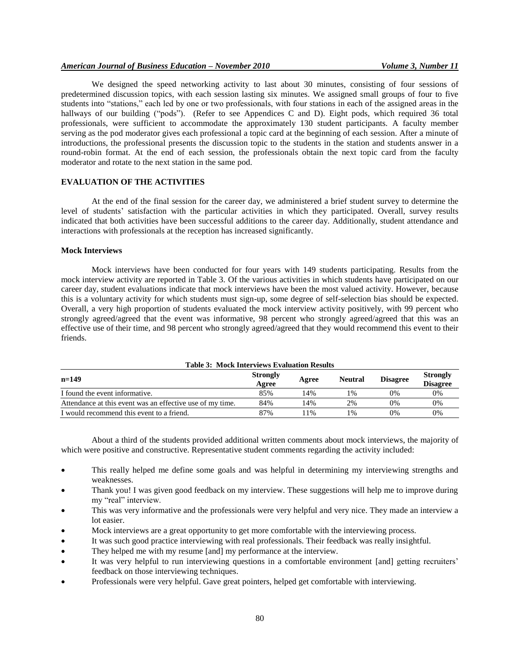# *American Journal of Business Education – November 2010 Volume 3, Number 11*

We designed the speed networking activity to last about 30 minutes, consisting of four sessions of predetermined discussion topics, with each session lasting six minutes. We assigned small groups of four to five students into "stations," each led by one or two professionals, with four stations in each of the assigned areas in the hallways of our building ("pods"). (Refer to see Appendices C and D). Eight pods, which required 36 total professionals, were sufficient to accommodate the approximately 130 student participants. A faculty member serving as the pod moderator gives each professional a topic card at the beginning of each session. After a minute of introductions, the professional presents the discussion topic to the students in the station and students answer in a round-robin format. At the end of each session, the professionals obtain the next topic card from the faculty moderator and rotate to the next station in the same pod.

# **EVALUATION OF THE ACTIVITIES**

At the end of the final session for the career day, we administered a brief student survey to determine the level of students' satisfaction with the particular activities in which they participated. Overall, survey results indicated that both activities have been successful additions to the career day. Additionally, student attendance and interactions with professionals at the reception has increased significantly.

#### **Mock Interviews**

Mock interviews have been conducted for four years with 149 students participating. Results from the mock interview activity are reported in Table 3. Of the various activities in which students have participated on our career day, student evaluations indicate that mock interviews have been the most valued activity. However, because this is a voluntary activity for which students must sign-up, some degree of self-selection bias should be expected. Overall, a very high proportion of students evaluated the mock interview activity positively, with 99 percent who strongly agreed/agreed that the event was informative, 98 percent who strongly agreed/agreed that this was an effective use of their time, and 98 percent who strongly agreed/agreed that they would recommend this event to their friends.

| Table 3: Mock Interviews Evaluation Results               |                          |       |                |                 |                                    |
|-----------------------------------------------------------|--------------------------|-------|----------------|-----------------|------------------------------------|
| $n=149$                                                   | <b>Strongly</b><br>Agree | Agree | <b>Neutral</b> | <b>Disagree</b> | <b>Strongly</b><br><b>Disagree</b> |
| I found the event informative.                            | 85%                      | 14%   | 1%             | 0%              | 0%                                 |
| Attendance at this event was an effective use of my time. | 84%                      | 14%   | 2%             | 0%              | 0%                                 |
| I would recommend this event to a friend.                 | 87%                      | 1%    | 1%             | 0%              | 0%                                 |

**Table 3: Mock Interviews Evaluation Results**

About a third of the students provided additional written comments about mock interviews, the majority of which were positive and constructive. Representative student comments regarding the activity included:

- This really helped me define some goals and was helpful in determining my interviewing strengths and weaknesses.
- Thank you! I was given good feedback on my interview. These suggestions will help me to improve during my "real" interview.
- This was very informative and the professionals were very helpful and very nice. They made an interview a lot easier.
- Mock interviews are a great opportunity to get more comfortable with the interviewing process.
- It was such good practice interviewing with real professionals. Their feedback was really insightful.
- They helped me with my resume [and] my performance at the interview.
- It was very helpful to run interviewing questions in a comfortable environment [and] getting recruiters' feedback on those interviewing techniques.
- Professionals were very helpful. Gave great pointers, helped get comfortable with interviewing.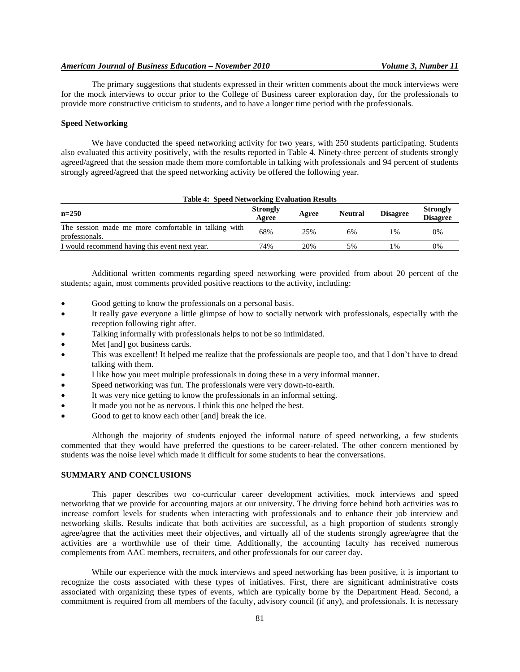The primary suggestions that students expressed in their written comments about the mock interviews were for the mock interviews to occur prior to the College of Business career exploration day, for the professionals to provide more constructive criticism to students, and to have a longer time period with the professionals.

#### **Speed Networking**

We have conducted the speed networking activity for two years, with 250 students participating. Students also evaluated this activity positively, with the results reported in Table 4. Ninety-three percent of students strongly agreed/agreed that the session made them more comfortable in talking with professionals and 94 percent of students strongly agreed/agreed that the speed networking activity be offered the following year.

#### **Table 4: Speed Networking Evaluation Results**

| $n=250$                                                                | <b>Strongly</b><br>Agree | Agree | <b>Neutral</b> | <b>Disagree</b> | <b>Strongly</b><br><b>Disagree</b> |
|------------------------------------------------------------------------|--------------------------|-------|----------------|-----------------|------------------------------------|
| The session made me more comfortable in talking with<br>professionals. | 68%                      | 25%   | 6%             | $\frac{0}{6}$   | 0%                                 |
| I would recommend having this event next year.                         | 74%                      | 20%   | 5%             | $\frac{0}{6}$   | 0%                                 |

Additional written comments regarding speed networking were provided from about 20 percent of the students; again, most comments provided positive reactions to the activity, including:

- Good getting to know the professionals on a personal basis.
- It really gave everyone a little glimpse of how to socially network with professionals, especially with the reception following right after.
- Talking informally with professionals helps to not be so intimidated.
- Met [and] got business cards.
- This was excellent! It helped me realize that the professionals are people too, and that I don't have to dread talking with them.
- I like how you meet multiple professionals in doing these in a very informal manner.
- Speed networking was fun. The professionals were very down-to-earth.
- It was very nice getting to know the professionals in an informal setting.
- It made you not be as nervous. I think this one helped the best.
- Good to get to know each other [and] break the ice.

Although the majority of students enjoyed the informal nature of speed networking, a few students commented that they would have preferred the questions to be career-related. The other concern mentioned by students was the noise level which made it difficult for some students to hear the conversations.

#### **SUMMARY AND CONCLUSIONS**

This paper describes two co-curricular career development activities, mock interviews and speed networking that we provide for accounting majors at our university. The driving force behind both activities was to increase comfort levels for students when interacting with professionals and to enhance their job interview and networking skills. Results indicate that both activities are successful, as a high proportion of students strongly agree/agree that the activities meet their objectives, and virtually all of the students strongly agree/agree that the activities are a worthwhile use of their time. Additionally, the accounting faculty has received numerous complements from AAC members, recruiters, and other professionals for our career day.

While our experience with the mock interviews and speed networking has been positive, it is important to recognize the costs associated with these types of initiatives. First, there are significant administrative costs associated with organizing these types of events, which are typically borne by the Department Head. Second, a commitment is required from all members of the faculty, advisory council (if any), and professionals. It is necessary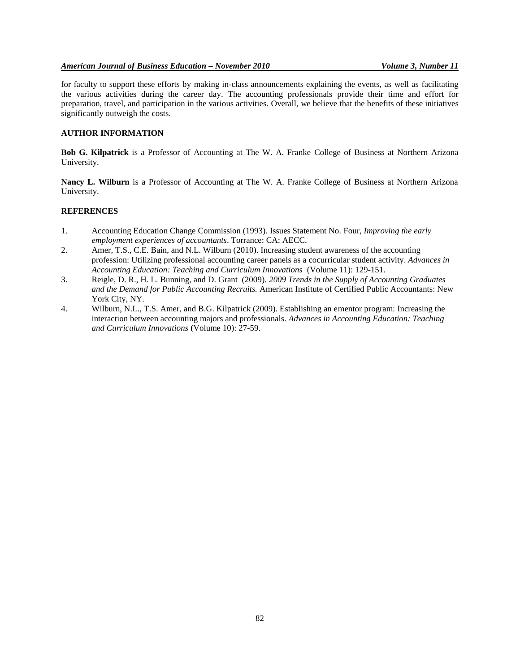## *American Journal of Business Education – November 2010 Volume 3, Number 11*

for faculty to support these efforts by making in-class announcements explaining the events, as well as facilitating the various activities during the career day. The accounting professionals provide their time and effort for preparation, travel, and participation in the various activities. Overall, we believe that the benefits of these initiatives significantly outweigh the costs.

# **AUTHOR INFORMATION**

**Bob G. Kilpatrick** is a Professor of Accounting at The W. A. Franke College of Business at Northern Arizona University.

**Nancy L. Wilburn** is a Professor of Accounting at The W. A. Franke College of Business at Northern Arizona University.

## **REFERENCES**

- 1. Accounting Education Change Commission (1993). Issues Statement No. Four, *Improving the early employment experiences of accountants*. Torrance: CA: AECC.
- 2. Amer, T.S., C.E. Bain, and N.L. Wilburn (2010). Increasing student awareness of the accounting profession: Utilizing professional accounting career panels as a cocurricular student activity. *Advances in Accounting Education: Teaching and Curriculum Innovations* (Volume 11): 129-151.
- 3. Reigle, D. R., H. L. Bunning, and D. Grant (2009). *2009 Trends in the Supply of Accounting Graduates and the Demand for Public Accounting Recruits.* American Institute of Certified Public Accountants: New York City, NY*.*
- 4. Wilburn, N.L., T.S. Amer, and B.G. Kilpatrick (2009). Establishing an ementor program: Increasing the interaction between accounting majors and professionals. *Advances in Accounting Education: Teaching and Curriculum Innovations* (Volume 10): 27-59.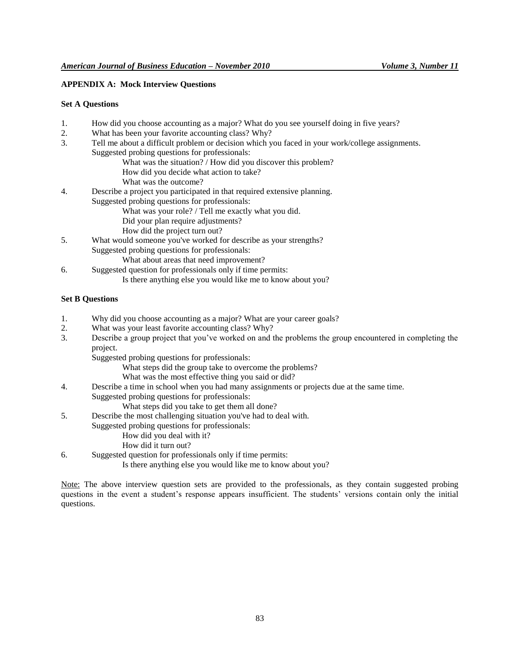## **APPENDIX A: Mock Interview Questions**

#### **Set A Questions**

- 1. How did you choose accounting as a major? What do you see yourself doing in five years?
- 2. What has been your favorite accounting class? Why?
- 3. Tell me about a difficult problem or decision which you faced in your work/college assignments. Suggested probing questions for professionals:
	- What was the situation? / How did you discover this problem?
	- How did you decide what action to take?
	- What was the outcome?
- 4. Describe a project you participated in that required extensive planning.

Suggested probing questions for professionals:

- What was your role? / Tell me exactly what you did.
- Did your plan require adjustments?
- How did the project turn out?
- 5. What would someone you've worked for describe as your strengths?
	- Suggested probing questions for professionals:
		- What about areas that need improvement?
- 6. Suggested question for professionals only if time permits:
	- Is there anything else you would like me to know about you?

# **Set B Questions**

- 1. Why did you choose accounting as a major? What are your career goals?
- 2. What was your least favorite accounting class? Why?
- 3. Describe a group project that you've worked on and the problems the group encountered in completing the project.
	- Suggested probing questions for professionals:
		- What steps did the group take to overcome the problems?
		- What was the most effective thing you said or did?
- 4. Describe a time in school when you had many assignments or projects due at the same time. Suggested probing questions for professionals:
	- What steps did you take to get them all done?
- 5. Describe the most challenging situation you've had to deal with.
	- Suggested probing questions for professionals:
		- How did you deal with it?
		- How did it turn out?
- 6. Suggested question for professionals only if time permits:
	- Is there anything else you would like me to know about you?

Note: The above interview question sets are provided to the professionals, as they contain suggested probing questions in the event a student's response appears insufficient. The students' versions contain only the initial questions.